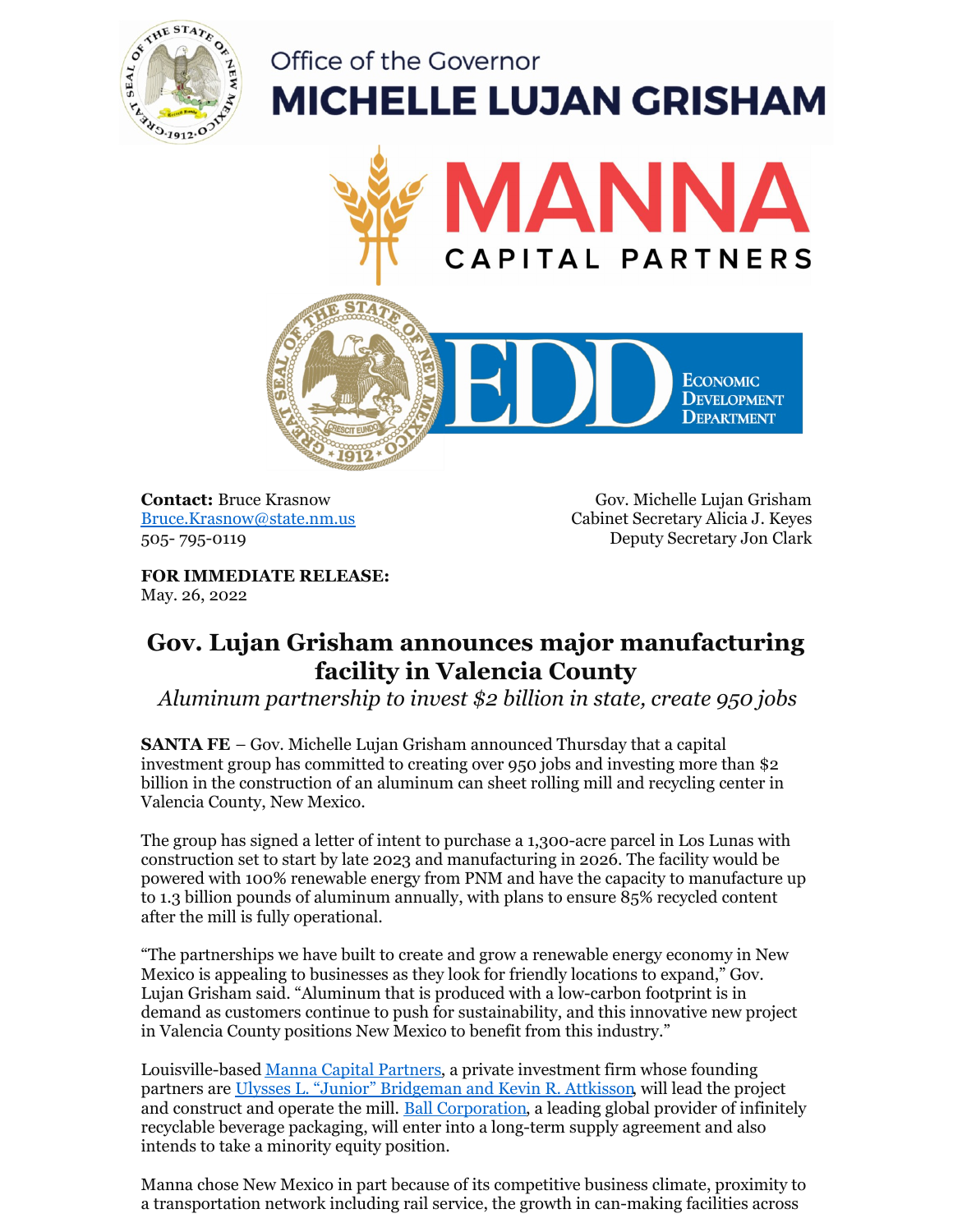

## Office of the Governor **MICHELLE LUJAN GRISHAM**





**Contact:** Bruce Krasnow [Bruce.Krasnow@state.nm.us](mailto:Bruce.Krasnow@state.nm.us) 505- 795-0119

Gov. Michelle Lujan Grisham Cabinet Secretary Alicia J. Keyes Deputy Secretary Jon Clark

**FOR IMMEDIATE RELEASE:** May. 26, 2022

## **Gov. Lujan Grisham announces major manufacturing facility in Valencia County**

*Aluminum partnership to invest \$2 billion in state, create 950 jobs*

**SANTA FE** – Gov. Michelle Lujan Grisham announced Thursday that a capital investment group has committed to creating over 950 jobs and investing more than \$2 billion in the construction of an aluminum can sheet rolling mill and recycling center in Valencia County, New Mexico.

The group has signed a letter of intent to purchase a 1,300-acre parcel in Los Lunas with construction set to start by late 2023 and manufacturing in 2026. The facility would be powered with 100% renewable energy from PNM and have the capacity to manufacture up to 1.3 billion pounds of aluminum annually, with plans to ensure 85% recycled content after the mill is fully operational.

"The partnerships we have built to create and grow a renewable energy economy in New Mexico is appealing to businesses as they look for friendly locations to expand," Gov. Lujan Grisham said. "Aluminum that is produced with a low-carbon footprint is in demand as customers continue to push for sustainability, and this innovative new project in Valencia County positions New Mexico to benefit from this industry."

Louisville-based Manna Capital [Partners](https://mannainvestmentpartners.com/), a private investment firm whose founding partners are Ulysses L. "Junior" [Bridgeman](https://mannainvestmentpartners.com/) and Kevin R. Attkisson, will lead the project and construct and operate the mill. Ball [Corporation](https://www.ball.com/), a leading global provider of infinitely recyclable beverage packaging, will enter into a long-term supply agreement and also intends to take a minority equity position.

Manna chose New Mexico in part because of its competitive business climate, proximity to a transportation network including rail service, the growth in can-making facilities across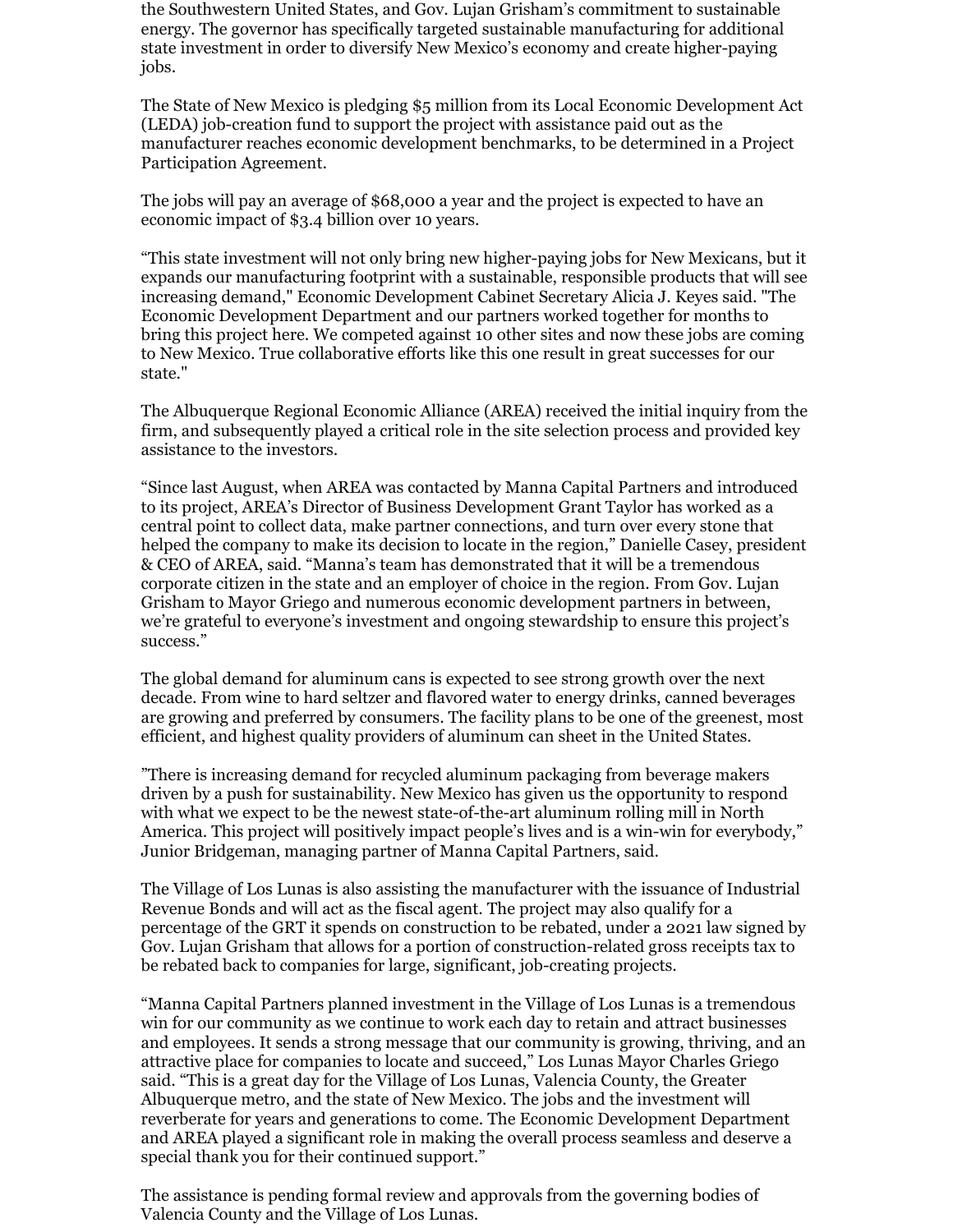the Southwestern United States, and Gov. Lujan Grisham's commitment to sustainable energy. The governor has specifically targeted sustainable manufacturing for additional state investment in order to diversify New Mexico's economy and create higher-paying jobs.

The State of New Mexico is pledging \$5 million from its Local Economic Development Act (LEDA) job-creation fund to support the project with assistance paid out as the manufacturer reaches economic development benchmarks, to be determined in a Project Participation Agreement.

The jobs will pay an average of \$68,000 a year and the project is expected to have an economic impact of \$3.4 billion over 10 years.

"This state investment will not only bring new higher-paying jobs for New Mexicans, but it expands our manufacturing footprint with a sustainable, responsible products that will see increasing demand," Economic Development Cabinet Secretary Alicia J. Keyes said. "The Economic Development Department and our partners worked together for months to bring this project here. We competed against 10 other sites and now these jobs are coming to New Mexico. True collaborative efforts like this one result in great successes for our state."

The Albuquerque Regional Economic Alliance (AREA) received the initial inquiry from the firm, and subsequently played a critical role in the site selection process and provided key assistance to the investors.

"Since last August, when AREA was contacted by Manna Capital Partners and introduced to its project, AREA's Director of Business Development Grant Taylor has worked as a central point to collect data, make partner connections, and turn over every stone that helped the company to make its decision to locate in the region," Danielle Casey, president & CEO of AREA, said. "Manna's team has demonstrated that it will be a tremendous corporate citizen in the state and an employer of choice in the region. From Gov. Lujan Grisham to Mayor Griego and numerous economic development partners in between, we're grateful to everyone's investment and ongoing stewardship to ensure this project's success."

The global demand for aluminum cans is expected to see strong growth over the next decade. From wine to hard seltzer and flavored water to energy drinks, canned beverages are growing and preferred by consumers. The facility plans to be one of the greenest, most efficient, and highest quality providers of aluminum can sheet in the United States.

"There is increasing demand for recycled aluminum packaging from beverage makers driven by a push for sustainability. New Mexico has given us the opportunity to respond with what we expect to be the newest state-of-the-art aluminum rolling mill in North America. This project will positively impact people's lives and is a win-win for everybody," Junior Bridgeman, managing partner of Manna Capital Partners, said.

The Village of Los Lunas is also assisting the manufacturer with the issuance of Industrial Revenue Bonds and will act as the fiscal agent. The project may also qualify for a percentage of the GRT it spends on construction to be rebated, under a 2021 law signed by Gov. Lujan Grisham that allows for a portion of construction-related gross receipts tax to be rebated back to companies for large, significant, job-creating projects.

"Manna Capital Partners planned investment in the Village of Los Lunas is a tremendous win for our community as we continue to work each day to retain and attract businesses and employees. It sends a strong message that our community is growing, thriving, and an attractive place for companies to locate and succeed," Los Lunas Mayor Charles Griego said. "This is a great day for the Village of Los Lunas, Valencia County, the Greater Albuquerque metro, and the state of New Mexico. The jobs and the investment will reverberate for years and generations to come. The Economic Development Department and AREA played a significant role in making the overall process seamless and deserve a special thank you for their continued support."

The assistance is pending formal review and approvals from the governing bodies of Valencia County and the Village of Los Lunas.